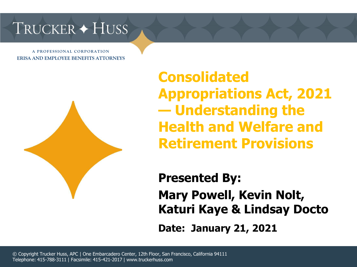## TRUCKER + HUSS

**A P R O F E S S I O N A L C O R P O R A T I O N ERISA AND EMPLOYEE BENEFITS ATTORNEYS**



**Consolidated Appropriations Act, 2021 — Understanding the Health and Welfare and Retirement Provisions** 

**Presented By: Mary Powell, Kevin Nolt, Katuri Kaye & Lindsay Docto Date: January 21, 2021**

© Copyright Trucker Huss, APC | One Embarcadero Center, 12th Floor, San Francisco, California 94111 Telephone: 415-788-3111 | Facsimile: 415-421-2017 | www.truckerhuss.com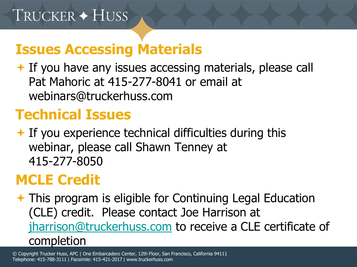#### **Issues Accessing Materials**

 $\overline{\phantom{a}}$  If you have any issues accessing materials, please call Pat Mahoric at 415-277-8041 or email at webinars@truckerhuss.com

## **Technical Issues**

 $\bigstar$  If you experience technical difficulties during this webinar, please call Shawn Tenney at 415-277-8050

## **MCLE Credit**

**★ This program is eligible for Continuing Legal Education** (CLE) credit. Please contact Joe Harrison at [jharrison@truckerhuss.com](mailto:jharrison@truckerhuss.com) to receive a CLE certificate of completion

© Copyright Trucker Huss, APC | One Embarcadero Center, 12th Floor, San Francisco, California 94111 Telephone: 415-788-3111 | Facsimile: 415-421-2017 | www.truckerhuss.com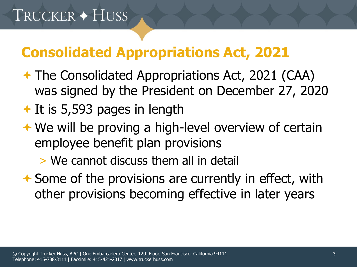## **Consolidated Appropriations Act, 2021**

- **★ The Consolidated Appropriations Act, 2021 (CAA)** was signed by the President on December 27, 2020
- $\bigstar$  It is 5,593 pages in length
- **← We will be proving a high-level overview of certain** employee benefit plan provisions

> We cannot discuss them all in detail

**★ Some of the provisions are currently in effect, with** other provisions becoming effective in later years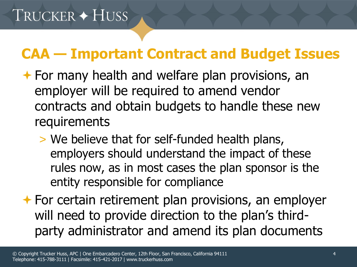## **CAA — Important Contract and Budget Issues**

- $\rightarrow$  For many health and welfare plan provisions, an employer will be required to amend vendor contracts and obtain budgets to handle these new requirements
	- > We believe that for self-funded health plans, employers should understand the impact of these rules now, as in most cases the plan sponsor is the entity responsible for compliance
- $\rightarrow$  For certain retirement plan provisions, an employer will need to provide direction to the plan's thirdparty administrator and amend its plan documents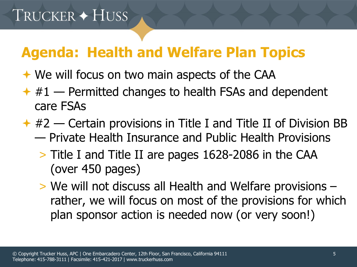## **Agenda: Health and Welfare Plan Topics**

- **★ We will focus on two main aspects of the CAA**
- $*$  #1 Permitted changes to health FSAs and dependent care FSAs
- $*$  #2 Certain provisions in Title I and Title II of Division BB — Private Health Insurance and Public Health Provisions
	- > Title I and Title II are pages 1628-2086 in the CAA (over 450 pages)
	- > We will not discuss all Health and Welfare provisions rather, we will focus on most of the provisions for which plan sponsor action is needed now (or very soon!)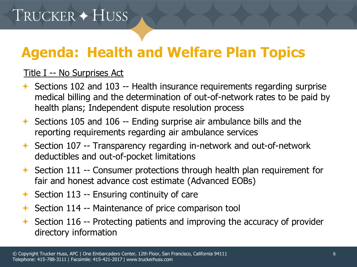# **Agenda: Health and Welfare Plan Topics**

#### Title I -- No Surprises Act

- $\triangle$  Sections 102 and 103 -- Health insurance requirements regarding surprise medical billing and the determination of out-of-network rates to be paid by health plans; Independent dispute resolution process
- Sections 105 and 106 -- Ending surprise air ambulance bills and the reporting requirements regarding air ambulance services
- Section 107 -- Transparency regarding in-network and out-of-network deductibles and out-of-pocket limitations
- $\rightarrow$  Section 111 -- Consumer protections through health plan requirement for fair and honest advance cost estimate (Advanced EOBs)
- $\rightarrow$  Section 113 -- Ensuring continuity of care
- $\triangle$  Section 114 -- Maintenance of price comparison tool
- Section 116 -- Protecting patients and improving the accuracy of provider directory information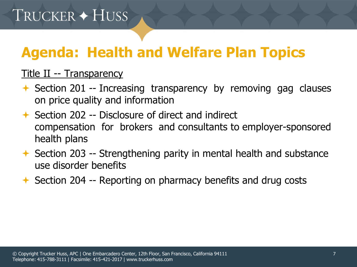# **Agenda: Health and Welfare Plan Topics**

#### Title II -- Transparency

- $\rightarrow$  Section 201 -- Increasing transparency by removing gag clauses on price quality and information
- $\rightarrow$  Section 202 -- Disclosure of direct and indirect compensation for brokers and consultants to employer-sponsored health plans
- $\rightarrow$  Section 203 -- Strengthening parity in mental health and substance use disorder benefits
- $\rightarrow$  Section 204 -- Reporting on pharmacy benefits and drug costs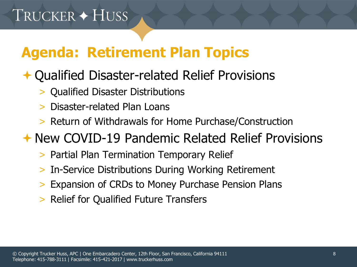# **Agenda: Retirement Plan Topics**

#### **← Qualified Disaster-related Relief Provisions**

- > Qualified Disaster Distributions
- > Disaster-related Plan Loans
- > Return of Withdrawals for Home Purchase/Construction

#### New COVID-19 Pandemic Related Relief Provisions

- > Partial Plan Termination Temporary Relief
- > In-Service Distributions During Working Retirement
- Expansion of CRDs to Money Purchase Pension Plans
- > Relief for Qualified Future Transfers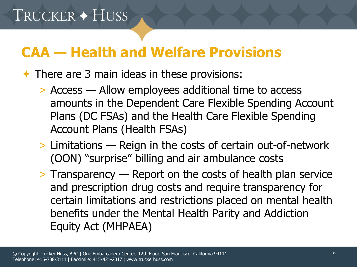## **CAA — Health and Welfare Provisions**

#### $\rightarrow$  There are 3 main ideas in these provisions:

- > Access Allow employees additional time to access amounts in the Dependent Care Flexible Spending Account Plans (DC FSAs) and the Health Care Flexible Spending Account Plans (Health FSAs)
- > Limitations Reign in the costs of certain out-of-network (OON) "surprise" billing and air ambulance costs
- > Transparency Report on the costs of health plan service and prescription drug costs and require transparency for certain limitations and restrictions placed on mental health benefits under the Mental Health Parity and Addiction Equity Act (MHPAEA)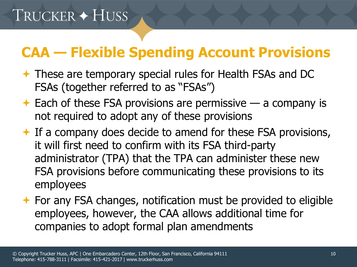## **CAA — Flexible Spending Account Provisions**

- These are temporary special rules for Health FSAs and DC FSAs (together referred to as "FSAs")
- $\triangle$  Each of these FSA provisions are permissive a company is not required to adopt any of these provisions
- $\triangle$  If a company does decide to amend for these FSA provisions, it will first need to confirm with its FSA third-party administrator (TPA) that the TPA can administer these new FSA provisions before communicating these provisions to its employees
- $\rightarrow$  For any FSA changes, notification must be provided to eligible employees, however, the CAA allows additional time for companies to adopt formal plan amendments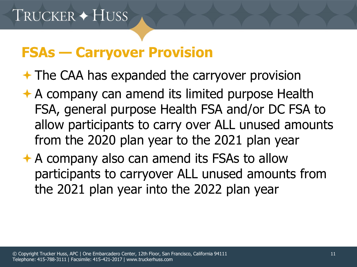## **FSAs — Carryover Provision**

 $\rightarrow$  The CAA has expanded the carryover provision

- **★ A company can amend its limited purpose Health** FSA, general purpose Health FSA and/or DC FSA to allow participants to carry over ALL unused amounts from the 2020 plan year to the 2021 plan year
- $\rightarrow$  A company also can amend its FSAs to allow participants to carryover ALL unused amounts from the 2021 plan year into the 2022 plan year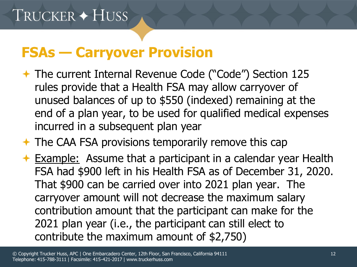#### **FSAs — Carryover Provision**

- The current Internal Revenue Code ("Code") Section 125 rules provide that a Health FSA may allow carryover of unused balances of up to \$550 (indexed) remaining at the end of a plan year, to be used for qualified medical expenses incurred in a subsequent plan year
- $\rightarrow$  The CAA FSA provisions temporarily remove this cap
- **Example:** Assume that a participant in a calendar year Health FSA had \$900 left in his Health FSA as of December 31, 2020. That \$900 can be carried over into 2021 plan year. The carryover amount will not decrease the maximum salary contribution amount that the participant can make for the 2021 plan year (i.e., the participant can still elect to contribute the maximum amount of \$2,750)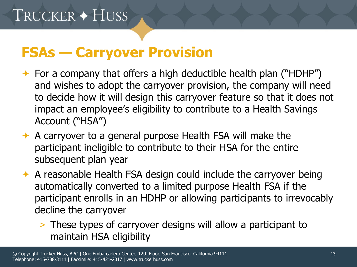#### **FSAs — Carryover Provision**

- $\rightarrow$  For a company that offers a high deductible health plan ("HDHP") and wishes to adopt the carryover provision, the company will need to decide how it will design this carryover feature so that it does not impact an employee's eligibility to contribute to a Health Savings Account ("HSA")
- $\rightarrow$  A carryover to a general purpose Health FSA will make the participant ineligible to contribute to their HSA for the entire subsequent plan year
- $\rightarrow$  A reasonable Health FSA design could include the carryover being automatically converted to a limited purpose Health FSA if the participant enrolls in an HDHP or allowing participants to irrevocably decline the carryover
	- > These types of carryover designs will allow a participant to maintain HSA eligibility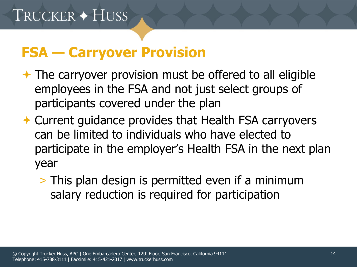#### **FSA — Carryover Provision**

- $\rightarrow$  The carryover provision must be offered to all eligible employees in the FSA and not just select groups of participants covered under the plan
- **← Current guidance provides that Health FSA carryovers** can be limited to individuals who have elected to participate in the employer's Health FSA in the next plan year
	- > This plan design is permitted even if a minimum salary reduction is required for participation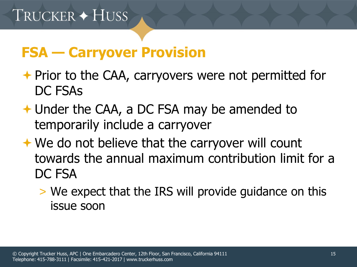## **FSA — Carryover Provision**

- **← Prior to the CAA, carryovers were not permitted for** DC FSAs
- Under the CAA, a DC FSA may be amended to temporarily include a carryover
- **★ We do not believe that the carryover will count** towards the annual maximum contribution limit for a DC FSA
	- > We expect that the IRS will provide guidance on this issue soon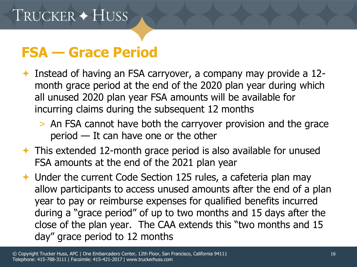## **FSA — Grace Period**

- Instead of having an FSA carryover, a company may provide a  $12$ month grace period at the end of the 2020 plan year during which all unused 2020 plan year FSA amounts will be available for incurring claims during the subsequent 12 months
	- > An FSA cannot have both the carryover provision and the grace period — It can have one or the other
- This extended 12-month grace period is also available for unused FSA amounts at the end of the 2021 plan year
- Under the current Code Section 125 rules, a cafeteria plan may allow participants to access unused amounts after the end of a plan year to pay or reimburse expenses for qualified benefits incurred during a "grace period" of up to two months and 15 days after the close of the plan year. The CAA extends this "two months and 15 day" grace period to 12 months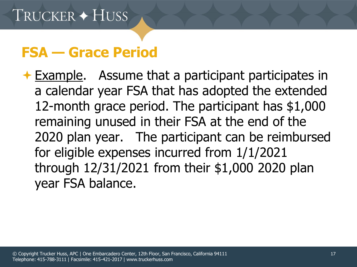#### **FSA — Grace Period**

**Example.** Assume that a participant participates in a calendar year FSA that has adopted the extended 12-month grace period. The participant has \$1,000 remaining unused in their FSA at the end of the 2020 plan year. The participant can be reimbursed for eligible expenses incurred from 1/1/2021 through 12/31/2021 from their \$1,000 2020 plan year FSA balance.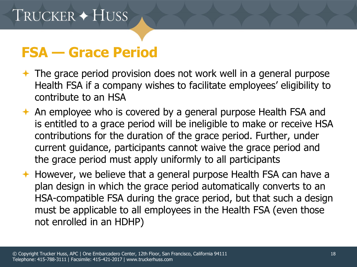### **FSA — Grace Period**

- $\rightarrow$  The grace period provision does not work well in a general purpose Health FSA if a company wishes to facilitate employees' eligibility to contribute to an HSA
- **← An employee who is covered by a general purpose Health FSA and** is entitled to a grace period will be ineligible to make or receive HSA contributions for the duration of the grace period. Further, under current guidance, participants cannot waive the grace period and the grace period must apply uniformly to all participants
- ← However, we believe that a general purpose Health FSA can have a plan design in which the grace period automatically converts to an HSA-compatible FSA during the grace period, but that such a design must be applicable to all employees in the Health FSA (even those not enrolled in an HDHP)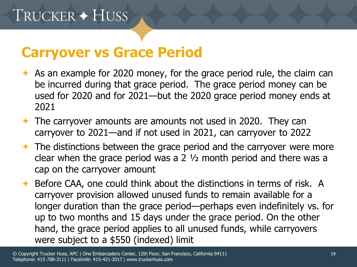#### **Carryover vs Grace Period**

- As an example for 2020 money, for the grace period rule, the claim can be incurred during that grace period. The grace period money can be used for 2020 and for 2021—but the 2020 grace period money ends at 2021
- $\rightarrow$  The carryover amounts are amounts not used in 2020. They can carryover to 2021—and if not used in 2021, can carryover to 2022
- $\rightarrow$  The distinctions between the grace period and the carryover were more clear when the grace period was a 2 ½ month period and there was a cap on the carryover amount
- ◆ Before CAA, one could think about the distinctions in terms of risk. A carryover provision allowed unused funds to remain available for a longer duration than the grace period—perhaps even indefinitely vs. for up to two months and 15 days under the grace period. On the other hand, the grace period applies to all unused funds, while carryovers were subject to a \$550 (indexed) limit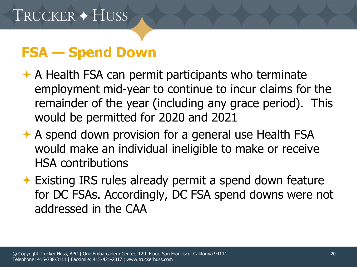## **FSA — Spend Down**

- $\rightarrow$  A Health FSA can permit participants who terminate employment mid-year to continue to incur claims for the remainder of the year (including any grace period). This would be permitted for 2020 and 2021
- **← A spend down provision for a general use Health FSA** would make an individual ineligible to make or receive HSA contributions
- **← Existing IRS rules already permit a spend down feature** for DC FSAs. Accordingly, DC FSA spend downs were not addressed in the CAA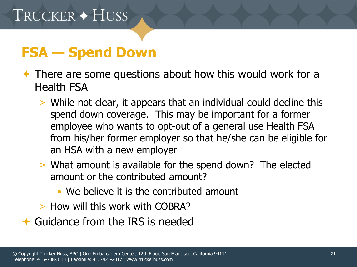## **FSA — Spend Down**

- $\rightarrow$  There are some questions about how this would work for a Health FSA
	- > While not clear, it appears that an individual could decline this spend down coverage. This may be important for a former employee who wants to opt-out of a general use Health FSA from his/her former employer so that he/she can be eligible for an HSA with a new employer
	- > What amount is available for the spend down? The elected amount or the contributed amount?
		- We believe it is the contributed amount
	- > How will this work with COBRA?
- $\triangle$  Guidance from the IRS is needed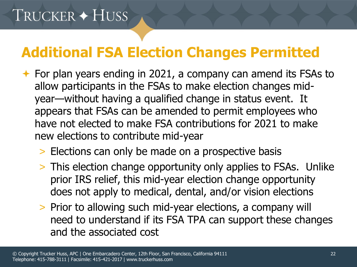# TRUCKER + HUSS

## **Additional FSA Election Changes Permitted**

- $\rightarrow$  For plan years ending in 2021, a company can amend its FSAs to allow participants in the FSAs to make election changes midyear—without having a qualified change in status event. It appears that FSAs can be amended to permit employees who have not elected to make FSA contributions for 2021 to make new elections to contribute mid-year
	- > Elections can only be made on a prospective basis
	- > This election change opportunity only applies to FSAs. Unlike prior IRS relief, this mid-year election change opportunity does not apply to medical, dental, and/or vision elections
	- > Prior to allowing such mid-year elections, a company will need to understand if its FSA TPA can support these changes and the associated cost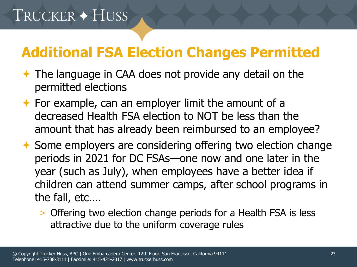## **Additional FSA Election Changes Permitted**

- $\div$  **The language in CAA does not provide any detail on the** permitted elections
- $\rightarrow$  For example, can an employer limit the amount of a decreased Health FSA election to NOT be less than the amount that has already been reimbursed to an employee?
- **★ Some employers are considering offering two election change** periods in 2021 for DC FSAs—one now and one later in the year (such as July), when employees have a better idea if children can attend summer camps, after school programs in the fall, etc….
	- > Offering two election change periods for a Health FSA is less attractive due to the uniform coverage rules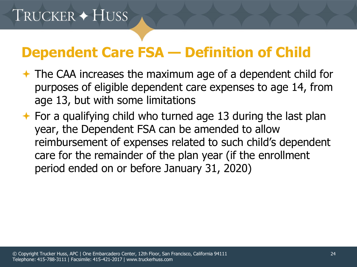## **Dependent Care FSA — Definition of Child**

- The CAA increases the maximum age of a dependent child for purposes of eligible dependent care expenses to age 14, from age 13, but with some limitations
- $\rightarrow$  For a qualifying child who turned age 13 during the last plan year, the Dependent FSA can be amended to allow reimbursement of expenses related to such child's dependent care for the remainder of the plan year (if the enrollment period ended on or before January 31, 2020)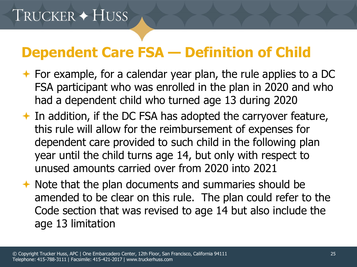## **Dependent Care FSA — Definition of Child**

- $\rightarrow$  For example, for a calendar year plan, the rule applies to a DC FSA participant who was enrolled in the plan in 2020 and who had a dependent child who turned age 13 during 2020
- $\rightarrow$  In addition, if the DC FSA has adopted the carryover feature, this rule will allow for the reimbursement of expenses for dependent care provided to such child in the following plan year until the child turns age 14, but only with respect to unused amounts carried over from 2020 into 2021
- $\rightarrow$  Note that the plan documents and summaries should be amended to be clear on this rule. The plan could refer to the Code section that was revised to age 14 but also include the age 13 limitation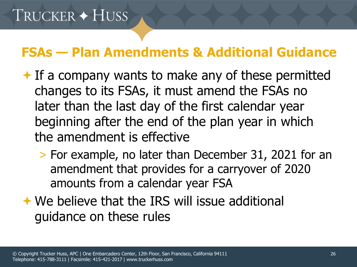#### **FSAs — Plan Amendments & Additional Guidance**

- $\bigstar$  If a company wants to make any of these permitted changes to its FSAs, it must amend the FSAs no later than the last day of the first calendar year beginning after the end of the plan year in which the amendment is effective
	- > For example, no later than December 31, 2021 for an amendment that provides for a carryover of 2020 amounts from a calendar year FSA
- We believe that the IRS will issue additional guidance on these rules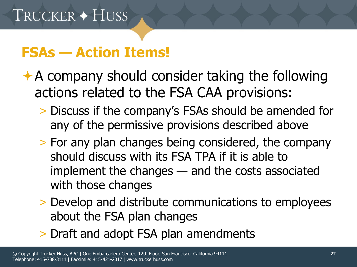## **FSAs — Action Items!**

- $\rightarrow$  A company should consider taking the following actions related to the FSA CAA provisions:
	- > Discuss if the company's FSAs should be amended for any of the permissive provisions described above
	- > For any plan changes being considered, the company should discuss with its FSA TPA if it is able to implement the changes — and the costs associated with those changes
	- > Develop and distribute communications to employees about the FSA plan changes
	- > Draft and adopt FSA plan amendments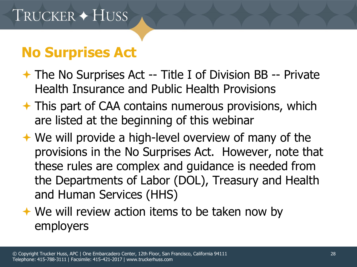## **No Surprises Act**

- **★ The No Surprises Act -- Title I of Division BB -- Private** Health Insurance and Public Health Provisions
- $\rightarrow$  This part of CAA contains numerous provisions, which are listed at the beginning of this webinar
- **★ We will provide a high-level overview of many of the** provisions in the No Surprises Act. However, note that these rules are complex and guidance is needed from the Departments of Labor (DOL), Treasury and Health and Human Services (HHS)
- **★ We will review action items to be taken now by** employers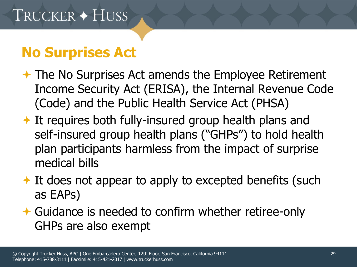## **No Surprises Act**

- **★ The No Surprises Act amends the Employee Retirement** Income Security Act (ERISA), the Internal Revenue Code (Code) and the Public Health Service Act (PHSA)
- $\rightarrow$  It requires both fully-insured group health plans and self-insured group health plans ("GHPs") to hold health plan participants harmless from the impact of surprise medical bills
- $\rightarrow$  It does not appear to apply to excepted benefits (such as EAPs)
- Guidance is needed to confirm whether retiree-only GHPs are also exempt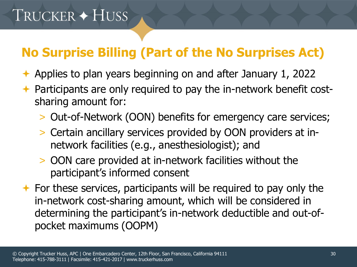## **No Surprise Billing (Part of the No Surprises Act)**

- $\rightarrow$  Applies to plan years beginning on and after January 1, 2022
- **← Participants are only required to pay the in-network benefit cost**sharing amount for:
	- > Out-of-Network (OON) benefits for emergency care services;
	- > Certain ancillary services provided by OON providers at innetwork facilities (e.g., anesthesiologist); and
	- > OON care provided at in-network facilities without the participant's informed consent
- $\rightarrow$  For these services, participants will be required to pay only the in-network cost-sharing amount, which will be considered in determining the participant's in-network deductible and out-ofpocket maximums (OOPM)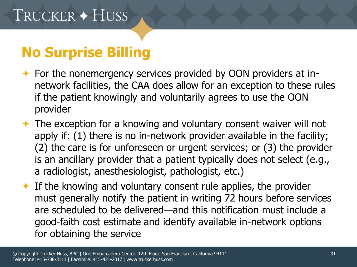- For the nonemergency services provided by OON providers at innetwork facilities, the CAA does allow for an exception to these rules if the patient knowingly and voluntarily agrees to use the OON provider
- $\rightarrow$  The exception for a knowing and voluntary consent waiver will not apply if: (1) there is no in-network provider available in the facility; (2) the care is for unforeseen or urgent services; or (3) the provider is an ancillary provider that a patient typically does not select (e.g., a radiologist, anesthesiologist, pathologist, etc.)
- $\triangle$  If the knowing and voluntary consent rule applies, the provider must generally notify the patient in writing 72 hours before services are scheduled to be delivered—and this notification must include a good-faith cost estimate and identify available in-network options for obtaining the service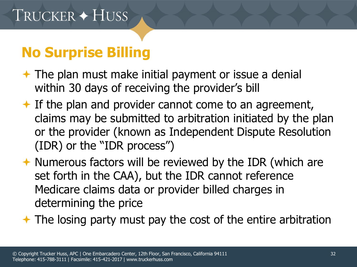- $\rightarrow$  The plan must make initial payment or issue a denial within 30 days of receiving the provider's bill
- $\rightarrow$  If the plan and provider cannot come to an agreement, claims may be submitted to arbitration initiated by the plan or the provider (known as Independent Dispute Resolution (IDR) or the "IDR process")
- $\rightarrow$  Numerous factors will be reviewed by the IDR (which are set forth in the CAA), but the IDR cannot reference Medicare claims data or provider billed charges in determining the price

 $\rightarrow$  The losing party must pay the cost of the entire arbitration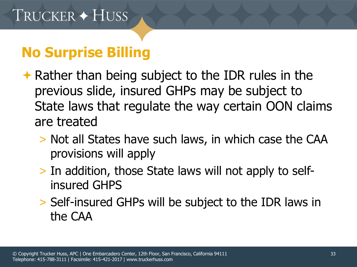- $\rightarrow$  Rather than being subject to the IDR rules in the previous slide, insured GHPs may be subject to State laws that regulate the way certain OON claims are treated
	- > Not all States have such laws, in which case the CAA provisions will apply
	- > In addition, those State laws will not apply to selfinsured GHPS
	- > Self-insured GHPs will be subject to the IDR laws in the CAA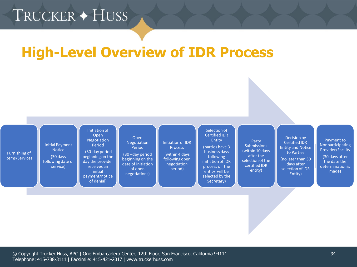## TRUCKER + HUSS

#### **High-Level Overview of IDR Process**

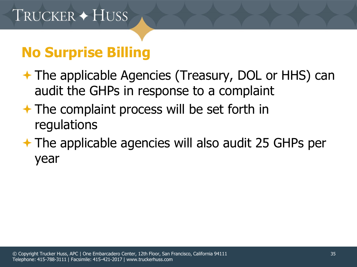- **★ The applicable Agencies (Treasury, DOL or HHS) can** audit the GHPs in response to a complaint
- $\rightarrow$  The complaint process will be set forth in regulations
- **★ The applicable agencies will also audit 25 GHPs per** year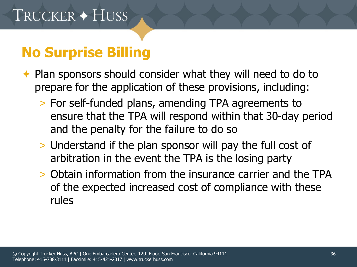- ◆ Plan sponsors should consider what they will need to do to prepare for the application of these provisions, including:
	- > For self-funded plans, amending TPA agreements to ensure that the TPA will respond within that 30-day period and the penalty for the failure to do so
	- > Understand if the plan sponsor will pay the full cost of arbitration in the event the TPA is the losing party
	- > Obtain information from the insurance carrier and the TPA of the expected increased cost of compliance with these rules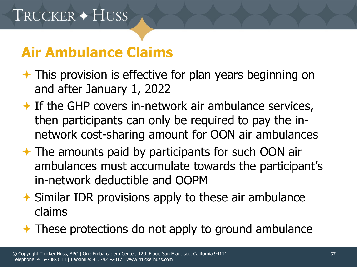## **Air Ambulance Claims**

- $\rightarrow$  This provision is effective for plan years beginning on and after January 1, 2022
- $\bigstar$  If the GHP covers in-network air ambulance services, then participants can only be required to pay the innetwork cost-sharing amount for OON air ambulances
- $\rightarrow$  The amounts paid by participants for such OON air ambulances must accumulate towards the participant's in-network deductible and OOPM
- $\rightarrow$  Similar IDR provisions apply to these air ambulance claims
- **★ These protections do not apply to ground ambulance**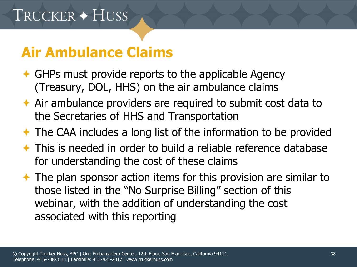### **Air Ambulance Claims**

- $\triangle$  GHPs must provide reports to the applicable Agency (Treasury, DOL, HHS) on the air ambulance claims
- $\rightarrow$  Air ambulance providers are required to submit cost data to the Secretaries of HHS and Transportation
- $\rightarrow$  The CAA includes a long list of the information to be provided
- $\rightarrow$  This is needed in order to build a reliable reference database for understanding the cost of these claims
- $\rightarrow$  The plan sponsor action items for this provision are similar to those listed in the "No Surprise Billing" section of this webinar, with the addition of understanding the cost associated with this reporting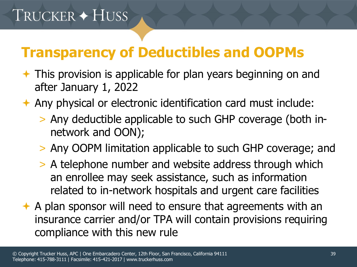## **Transparency of Deductibles and OOPMs**

- **← This provision is applicable for plan years beginning on and** after January 1, 2022
- Any physical or electronic identification card must include:
	- > Any deductible applicable to such GHP coverage (both innetwork and OON);
	- > Any OOPM limitation applicable to such GHP coverage; and
	- > A telephone number and website address through which an enrollee may seek assistance, such as information related to in-network hospitals and urgent care facilities
- $\rightarrow$  A plan sponsor will need to ensure that agreements with an insurance carrier and/or TPA will contain provisions requiring compliance with this new rule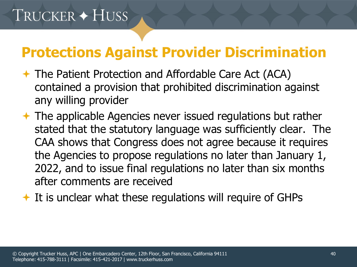## **Protections Against Provider Discrimination**

- The Patient Protection and Affordable Care Act (ACA) contained a provision that prohibited discrimination against any willing provider
- **★ The applicable Agencies never issued regulations but rather** stated that the statutory language was sufficiently clear. The CAA shows that Congress does not agree because it requires the Agencies to propose regulations no later than January 1, 2022, and to issue final regulations no later than six months after comments are received
- $\triangle$  It is unclear what these regulations will require of GHPs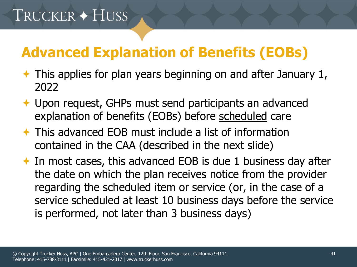# **Advanced Explanation of Benefits (EOBs)**

- $\rightarrow$  This applies for plan years beginning on and after January 1, 2022
- **← Upon request, GHPs must send participants an advanced** explanation of benefits (EOBs) before scheduled care
- This advanced EOB must include a list of information contained in the CAA (described in the next slide)

◆ In most cases, this advanced EOB is due 1 business day after the date on which the plan receives notice from the provider regarding the scheduled item or service (or, in the case of a service scheduled at least 10 business days before the service is performed, not later than 3 business days)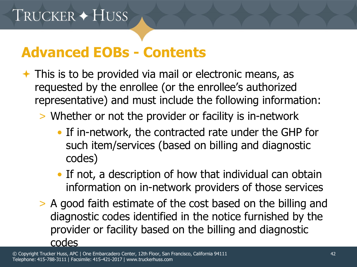### **Advanced EOBs - Contents**

- $\rightarrow$  This is to be provided via mail or electronic means, as requested by the enrollee (or the enrollee's authorized representative) and must include the following information:
	- > Whether or not the provider or facility is in-network
		- If in-network, the contracted rate under the GHP for such item/services (based on billing and diagnostic codes)
		- If not, a description of how that individual can obtain information on in-network providers of those services
	- > A good faith estimate of the cost based on the billing and diagnostic codes identified in the notice furnished by the provider or facility based on the billing and diagnostic codes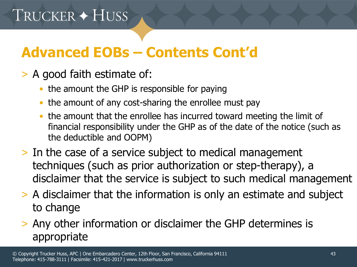# **Advanced EOBs – Contents Cont'd**

- > A good faith estimate of:
	- the amount the GHP is responsible for paying
	- the amount of any cost-sharing the enrollee must pay
	- the amount that the enrollee has incurred toward meeting the limit of financial responsibility under the GHP as of the date of the notice (such as the deductible and OOPM)
- > In the case of a service subject to medical management techniques (such as prior authorization or step-therapy), a disclaimer that the service is subject to such medical management
- > A disclaimer that the information is only an estimate and subject to change
- > Any other information or disclaimer the GHP determines is appropriate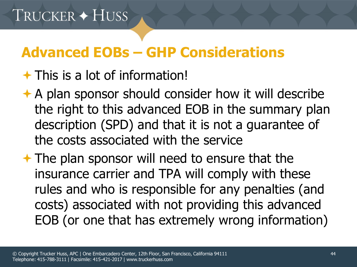## **Advanced EOBs – GHP Considerations**

### $\rightarrow$  This is a lot of information!

- **★ A plan sponsor should consider how it will describe** the right to this advanced EOB in the summary plan description (SPD) and that it is not a guarantee of the costs associated with the service
- $\rightarrow$  The plan sponsor will need to ensure that the insurance carrier and TPA will comply with these rules and who is responsible for any penalties (and costs) associated with not providing this advanced EOB (or one that has extremely wrong information)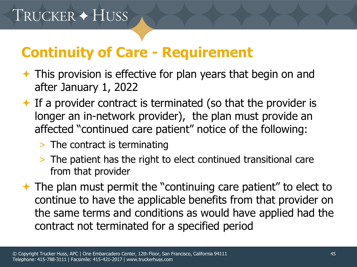## **Continuity of Care - Requirement**

- $\rightarrow$  This provision is effective for plan years that begin on and after January 1, 2022
- $\triangle$  If a provider contract is terminated (so that the provider is longer an in-network provider), the plan must provide an affected "continued care patient" notice of the following:
	- > The contract is terminating
	- > The patient has the right to elect continued transitional care from that provider
- The plan must permit the "continuing care patient" to elect to continue to have the applicable benefits from that provider on the same terms and conditions as would have applied had the contract not terminated for a specified period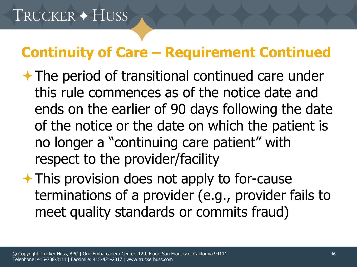## **Continuity of Care – Requirement Continued**

- **★ The period of transitional continued care under** this rule commences as of the notice date and ends on the earlier of 90 days following the date of the notice or the date on which the patient is no longer a "continuing care patient" with respect to the provider/facility
- **★ This provision does not apply to for-cause** terminations of a provider (e.g., provider fails to meet quality standards or commits fraud)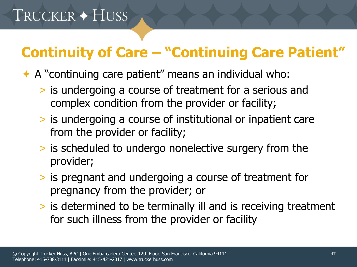## **Continuity of Care – "Continuing Care Patient"**

A "continuing care patient" means an individual who:

- > is undergoing a course of treatment for a serious and complex condition from the provider or facility;
- > is undergoing a course of institutional or inpatient care from the provider or facility;
- > is scheduled to undergo nonelective surgery from the provider;
- > is pregnant and undergoing a course of treatment for pregnancy from the provider; or
- > is determined to be terminally ill and is receiving treatment for such illness from the provider or facility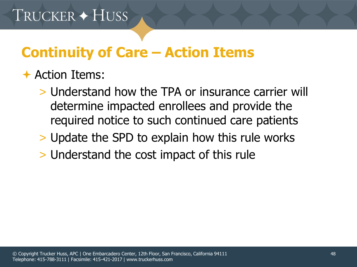## **Continuity of Care – Action Items**

#### **← Action Items:**

- > Understand how the TPA or insurance carrier will determine impacted enrollees and provide the required notice to such continued care patients
- > Update the SPD to explain how this rule works
- > Understand the cost impact of this rule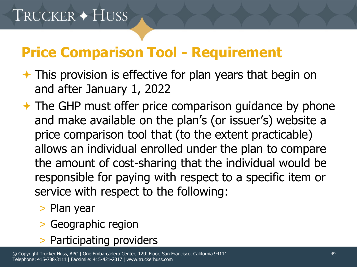## **Price Comparison Tool - Requirement**

- $\rightarrow$  This provision is effective for plan years that begin on and after January 1, 2022
- $\rightarrow$  The GHP must offer price comparison guidance by phone and make available on the plan's (or issuer's) website a price comparison tool that (to the extent practicable) allows an individual enrolled under the plan to compare the amount of cost-sharing that the individual would be responsible for paying with respect to a specific item or service with respect to the following:
	- > Plan year
	- > Geographic region
	- > Participating providers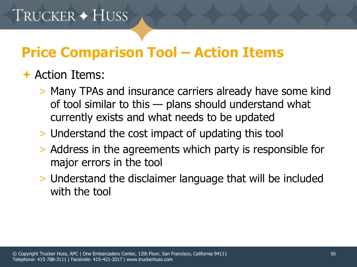## **Price Comparison Tool – Action Items**

#### **← Action Items:**

- > Many TPAs and insurance carriers already have some kind of tool similar to this — plans should understand what currently exists and what needs to be updated
- > Understand the cost impact of updating this tool
- > Address in the agreements which party is responsible for major errors in the tool
- > Understand the disclaimer language that will be included with the tool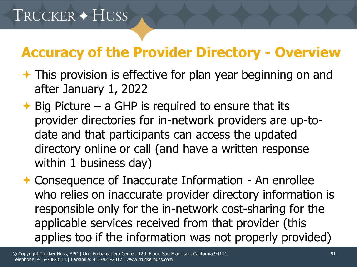## **Accuracy of the Provider Directory - Overview**

- **★ This provision is effective for plan year beginning on and** after January 1, 2022
- $\rightarrow$  Big Picture a GHP is required to ensure that its provider directories for in-network providers are up-todate and that participants can access the updated directory online or call (and have a written response within 1 business day)
- **← Consequence of Inaccurate Information An enrollee** who relies on inaccurate provider directory information is responsible only for the in-network cost-sharing for the applicable services received from that provider (this applies too if the information was not properly provided)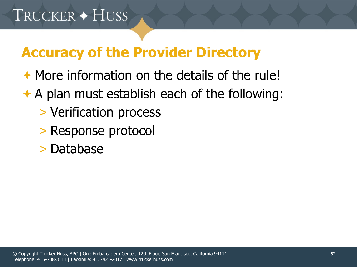## **Accuracy of the Provider Directory**

- $\rightarrow$  More information on the details of the rule!
- $\rightarrow$  A plan must establish each of the following:
	- > Verification process
	- > Response protocol
	- > Database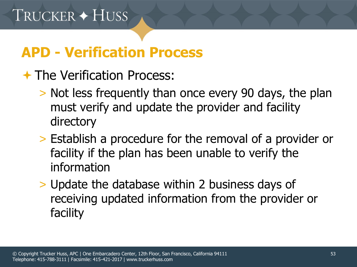## **APD - Verification Process**

### **★ The Verification Process:**

- > Not less frequently than once every 90 days, the plan must verify and update the provider and facility directory
- > Establish a procedure for the removal of a provider or facility if the plan has been unable to verify the information
- > Update the database within 2 business days of receiving updated information from the provider or facility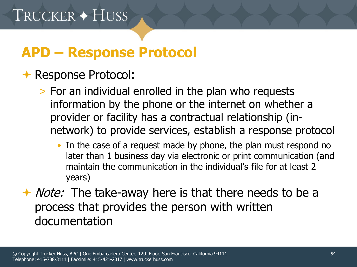## **APD – Response Protocol**

#### **← Response Protocol:**

- > For an individual enrolled in the plan who requests information by the phone or the internet on whether a provider or facility has a contractual relationship (innetwork) to provide services, establish a response protocol
	- In the case of a request made by phone, the plan must respond no later than 1 business day via electronic or print communication (and maintain the communication in the individual's file for at least 2 years)
- ◆ *Note:* The take-away here is that there needs to be a process that provides the person with written documentation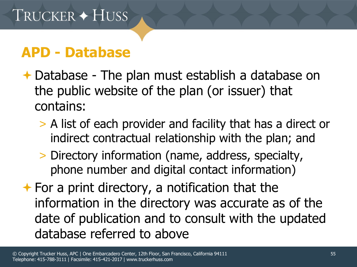### **APD - Database**

- Database The plan must establish a database on the public website of the plan (or issuer) that contains:
	- > A list of each provider and facility that has a direct or indirect contractual relationship with the plan; and
	- > Directory information (name, address, specialty, phone number and digital contact information)
- $\rightarrow$  For a print directory, a notification that the information in the directory was accurate as of the date of publication and to consult with the updated database referred to above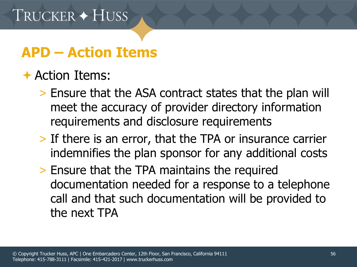## **APD – Action Items**

### Action Items:

- > Ensure that the ASA contract states that the plan will meet the accuracy of provider directory information requirements and disclosure requirements
- > If there is an error, that the TPA or insurance carrier indemnifies the plan sponsor for any additional costs
- > Ensure that the TPA maintains the required documentation needed for a response to a telephone call and that such documentation will be provided to the next TPA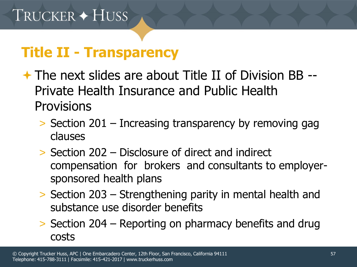## **Title II - Transparency**

- $\div$  **The next slides are about Title II of Division BB --**Private Health Insurance and Public Health **Provisions** 
	- > Section 201 Increasing transparency by removing gag clauses
	- > Section 202 Disclosure of direct and indirect compensation for brokers and consultants to employersponsored health plans
	- > Section 203 Strengthening parity in mental health and substance use disorder benefits
	- > Section 204 Reporting on pharmacy benefits and drug costs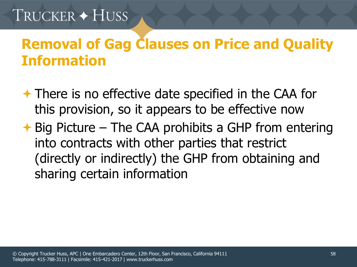# TRUCKER + HUSS

## **Removal of Gag Clauses on Price and Quality Information**

- **★ There is no effective date specified in the CAA for** this provision, so it appears to be effective now
- $\rightarrow$  Big Picture The CAA prohibits a GHP from entering into contracts with other parties that restrict (directly or indirectly) the GHP from obtaining and sharing certain information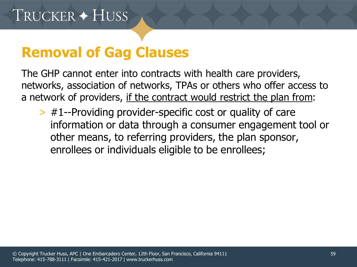### **Removal of Gag Clauses**

The GHP cannot enter into contracts with health care providers, networks, association of networks, TPAs or others who offer access to a network of providers, if the contract would restrict the plan from:

> #1--Providing provider-specific cost or quality of care information or data through a consumer engagement tool or other means, to referring providers, the plan sponsor, enrollees or individuals eligible to be enrollees;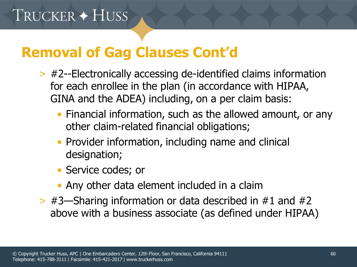## **Removal of Gag Clauses Cont'd**

- > #2--Electronically accessing de-identified claims information for each enrollee in the plan (in accordance with HIPAA, GINA and the ADEA) including, on a per claim basis:
	- Financial information, such as the allowed amount, or any other claim-related financial obligations;
	- Provider information, including name and clinical designation;
	- Service codes; or
	- Any other data element included in a claim
- $>$  #3—Sharing information or data described in #1 and #2 above with a business associate (as defined under HIPAA)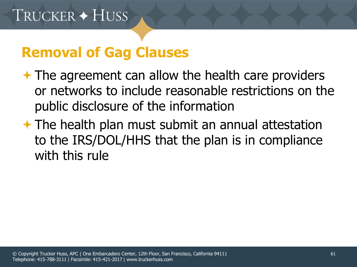### **Removal of Gag Clauses**

- $\rightarrow$  The agreement can allow the health care providers or networks to include reasonable restrictions on the public disclosure of the information
- $\rightarrow$  The health plan must submit an annual attestation to the IRS/DOL/HHS that the plan is in compliance with this rule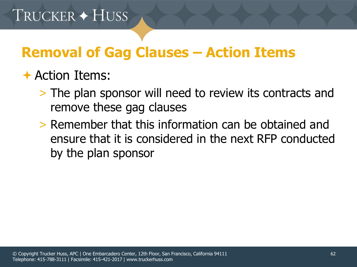## **Removal of Gag Clauses – Action Items**

### Action Items:

- > The plan sponsor will need to review its contracts and remove these gag clauses
- > Remember that this information can be obtained and ensure that it is considered in the next RFP conducted by the plan sponsor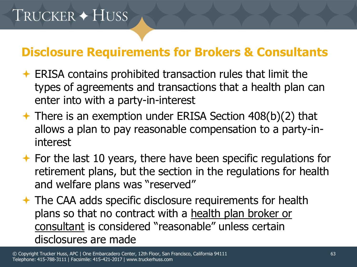- $\leftarrow$  ERISA contains prohibited transaction rules that limit the types of agreements and transactions that a health plan can enter into with a party-in-interest
- There is an exemption under ERISA Section 408(b)(2) that allows a plan to pay reasonable compensation to a party-ininterest
- $\rightarrow$  For the last 10 years, there have been specific regulations for retirement plans, but the section in the regulations for health and welfare plans was "reserved"
- **★ The CAA adds specific disclosure requirements for health** plans so that no contract with a health plan broker or consultant is considered "reasonable" unless certain disclosures are made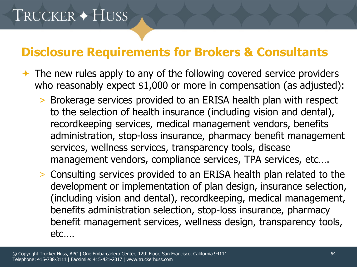- $\rightarrow$  The new rules apply to any of the following covered service providers who reasonably expect \$1,000 or more in compensation (as adjusted):
	- > Brokerage services provided to an ERISA health plan with respect to the selection of health insurance (including vision and dental), recordkeeping services, medical management vendors, benefits administration, stop-loss insurance, pharmacy benefit management services, wellness services, transparency tools, disease management vendors, compliance services, TPA services, etc….
	- > Consulting services provided to an ERISA health plan related to the development or implementation of plan design, insurance selection, (including vision and dental), recordkeeping, medical management, benefits administration selection, stop-loss insurance, pharmacy benefit management services, wellness design, transparency tools, etc….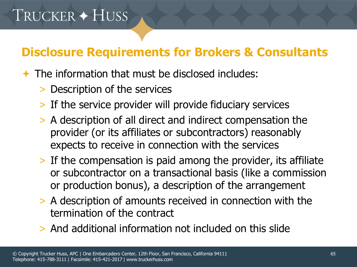- $\rightarrow$  The information that must be disclosed includes:
	- > Description of the services
	- > If the service provider will provide fiduciary services
	- > A description of all direct and indirect compensation the provider (or its affiliates or subcontractors) reasonably expects to receive in connection with the services
	- > If the compensation is paid among the provider, its affiliate or subcontractor on a transactional basis (like a commission or production bonus), a description of the arrangement
	- > A description of amounts received in connection with the termination of the contract
	- > And additional information not included on this slide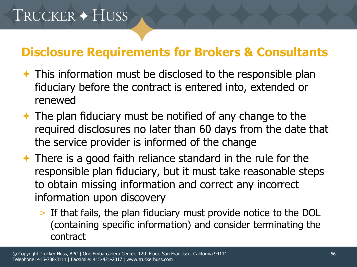- $\rightarrow$  This information must be disclosed to the responsible plan fiduciary before the contract is entered into, extended or renewed
- $\rightarrow$  The plan fiduciary must be notified of any change to the required disclosures no later than 60 days from the date that the service provider is informed of the change
- $\rightarrow$  There is a good faith reliance standard in the rule for the responsible plan fiduciary, but it must take reasonable steps to obtain missing information and correct any incorrect information upon discovery
	- > If that fails, the plan fiduciary must provide notice to the DOL (containing specific information) and consider terminating the contract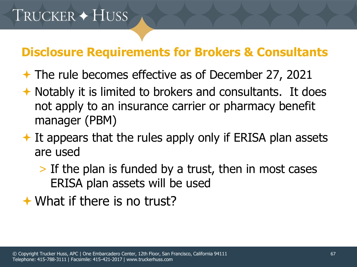- The rule becomes effective as of December 27, 2021
- $\rightarrow$  Notably it is limited to brokers and consultants. It does not apply to an insurance carrier or pharmacy benefit manager (PBM)
- $\triangle$  It appears that the rules apply only if ERISA plan assets are used
	- > If the plan is funded by a trust, then in most cases ERISA plan assets will be used
- **★ What if there is no trust?**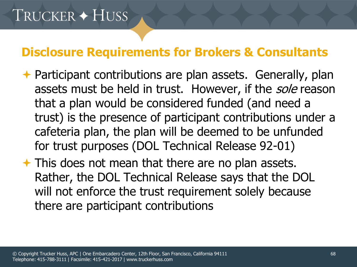- **← Participant contributions are plan assets. Generally, plan** assets must be held in trust. However, if the sole reason that a plan would be considered funded (and need a trust) is the presence of participant contributions under a cafeteria plan, the plan will be deemed to be unfunded for trust purposes (DOL Technical Release 92-01)
- This does not mean that there are no plan assets. Rather, the DOL Technical Release says that the DOL will not enforce the trust requirement solely because there are participant contributions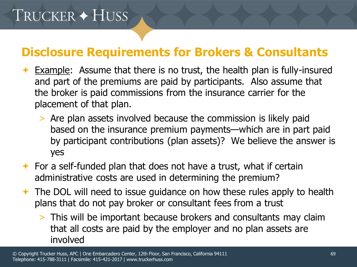# TRUCKER + HUSS

- $\rightarrow$  Example: Assume that there is no trust, the health plan is fully-insured and part of the premiums are paid by participants. Also assume that the broker is paid commissions from the insurance carrier for the placement of that plan.
	- > Are plan assets involved because the commission is likely paid based on the insurance premium payments—which are in part paid by participant contributions (plan assets)? We believe the answer is yes
- $\rightarrow$  For a self-funded plan that does not have a trust, what if certain administrative costs are used in determining the premium?
- $\rightarrow$  The DOL will need to issue guidance on how these rules apply to health plans that do not pay broker or consultant fees from a trust
	- > This will be important because brokers and consultants may claim that all costs are paid by the employer and no plan assets are involved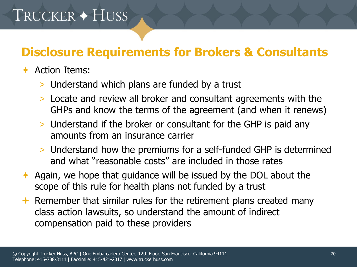# TRUCKER + HUSS

#### **Disclosure Requirements for Brokers & Consultants**

#### $\div$  Action Items:

- > Understand which plans are funded by a trust
- > Locate and review all broker and consultant agreements with the GHPs and know the terms of the agreement (and when it renews)
- > Understand if the broker or consultant for the GHP is paid any amounts from an insurance carrier
- > Understand how the premiums for a self-funded GHP is determined and what "reasonable costs" are included in those rates
- Again, we hope that guidance will be issued by the DOL about the scope of this rule for health plans not funded by a trust
- Remember that similar rules for the retirement plans created many class action lawsuits, so understand the amount of indirect compensation paid to these providers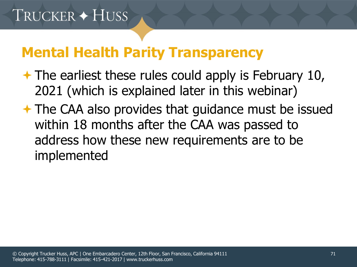## **Mental Health Parity Transparency**

- $\rightarrow$  The earliest these rules could apply is February 10, 2021 (which is explained later in this webinar)
- **★ The CAA also provides that guidance must be issued** within 18 months after the CAA was passed to address how these new requirements are to be implemented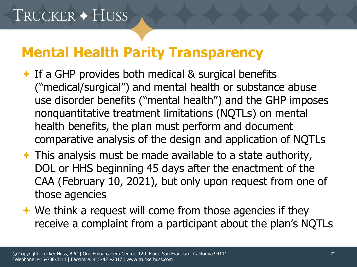## **Mental Health Parity Transparency**

- $\rightarrow$  If a GHP provides both medical & surgical benefits ("medical/surgical") and mental health or substance abuse use disorder benefits ("mental health") and the GHP imposes nonquantitative treatment limitations (NQTLs) on mental health benefits, the plan must perform and document comparative analysis of the design and application of NQTLs
- $\rightarrow$  This analysis must be made available to a state authority, DOL or HHS beginning 45 days after the enactment of the CAA (February 10, 2021), but only upon request from one of those agencies
- $\rightarrow$  We think a request will come from those agencies if they receive a complaint from a participant about the plan's NQTLs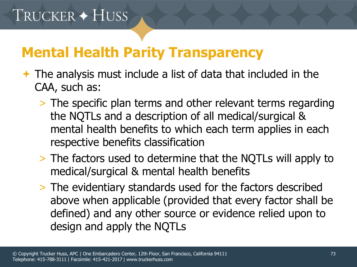- $\rightarrow$  The analysis must include a list of data that included in the CAA, such as:
	- > The specific plan terms and other relevant terms regarding the NQTLs and a description of all medical/surgical & mental health benefits to which each term applies in each respective benefits classification
	- > The factors used to determine that the NQTLs will apply to medical/surgical & mental health benefits
	- > The evidentiary standards used for the factors described above when applicable (provided that every factor shall be defined) and any other source or evidence relied upon to design and apply the NQTLs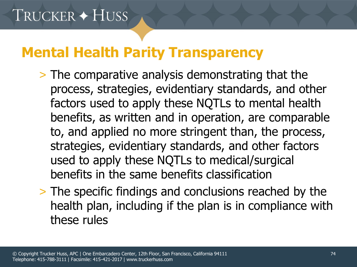- > The comparative analysis demonstrating that the process, strategies, evidentiary standards, and other factors used to apply these NQTLs to mental health benefits, as written and in operation, are comparable to, and applied no more stringent than, the process, strategies, evidentiary standards, and other factors used to apply these NQTLs to medical/surgical benefits in the same benefits classification
- > The specific findings and conclusions reached by the health plan, including if the plan is in compliance with these rules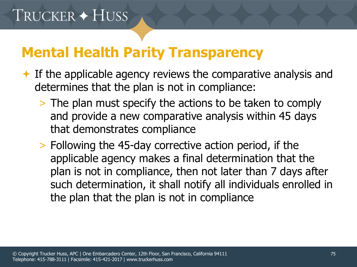- $\rightarrow$  If the applicable agency reviews the comparative analysis and determines that the plan is not in compliance:
	- > The plan must specify the actions to be taken to comply and provide a new comparative analysis within 45 days that demonstrates compliance
	- > Following the 45-day corrective action period, if the applicable agency makes a final determination that the plan is not in compliance, then not later than 7 days after such determination, it shall notify all individuals enrolled in the plan that the plan is not in compliance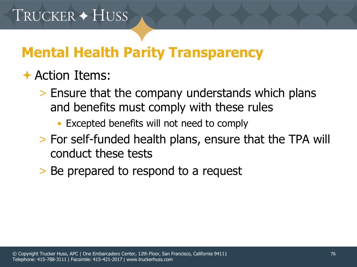### Action Items:

- > Ensure that the company understands which plans and benefits must comply with these rules
	- Excepted benefits will not need to comply
- > For self-funded health plans, ensure that the TPA will conduct these tests
- > Be prepared to respond to a request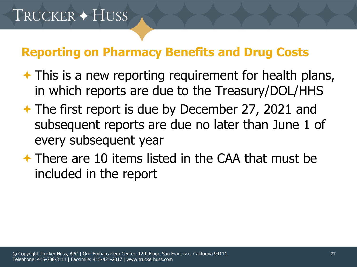- $\rightarrow$  This is a new reporting requirement for health plans, in which reports are due to the Treasury/DOL/HHS
- The first report is due by December 27, 2021 and subsequent reports are due no later than June 1 of every subsequent year
- $\rightarrow$  There are 10 items listed in the CAA that must be included in the report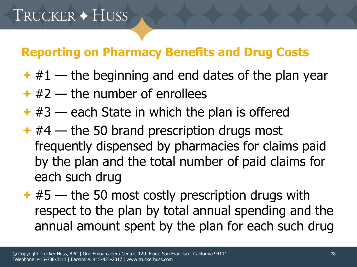- $*$  #1 the beginning and end dates of the plan year
- $* 42$  the number of enrollees
- $*$  #3 each State in which the plan is offered
- $*$  #4 the 50 brand prescription drugs most frequently dispensed by pharmacies for claims paid by the plan and the total number of paid claims for each such drug
- $*#5$  the 50 most costly prescription drugs with respect to the plan by total annual spending and the annual amount spent by the plan for each such drug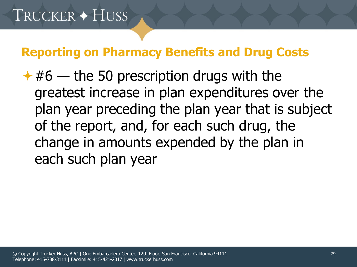$*#6$  — the 50 prescription drugs with the greatest increase in plan expenditures over the plan year preceding the plan year that is subject of the report, and, for each such drug, the change in amounts expended by the plan in each such plan year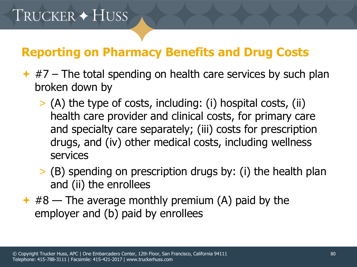- $\rightarrow$  #7 The total spending on health care services by such plan broken down by
	- > (A) the type of costs, including: (i) hospital costs, (ii) health care provider and clinical costs, for primary care and specialty care separately; (iii) costs for prescription drugs, and (iv) other medical costs, including wellness services
	- > (B) spending on prescription drugs by: (i) the health plan and (ii) the enrollees
- $*$  #8 The average monthly premium (A) paid by the employer and (b) paid by enrollees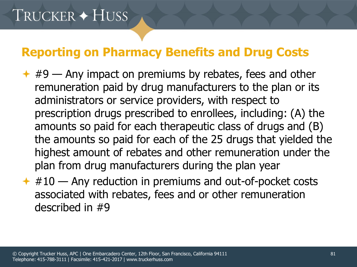- $\leftrightarrow$  #9 Any impact on premiums by rebates, fees and other remuneration paid by drug manufacturers to the plan or its administrators or service providers, with respect to prescription drugs prescribed to enrollees, including: (A) the amounts so paid for each therapeutic class of drugs and (B) the amounts so paid for each of the 25 drugs that yielded the highest amount of rebates and other remuneration under the plan from drug manufacturers during the plan year
- $*$  #10 Any reduction in premiums and out-of-pocket costs associated with rebates, fees and or other remuneration described in #9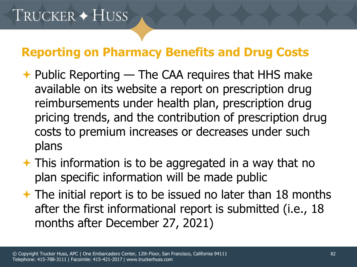- $\rightarrow$  Public Reporting The CAA requires that HHS make available on its website a report on prescription drug reimbursements under health plan, prescription drug pricing trends, and the contribution of prescription drug costs to premium increases or decreases under such plans
- $\rightarrow$  This information is to be aggregated in a way that no plan specific information will be made public
- $\rightarrow$  The initial report is to be issued no later than 18 months after the first informational report is submitted (i.e., 18 months after December 27, 2021)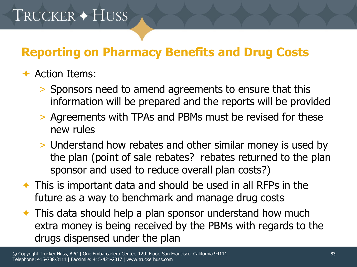#### $\div$  Action Items:

- > Sponsors need to amend agreements to ensure that this information will be prepared and the reports will be provided
- > Agreements with TPAs and PBMs must be revised for these new rules
- > Understand how rebates and other similar money is used by the plan (point of sale rebates? rebates returned to the plan sponsor and used to reduce overall plan costs?)
- $\rightarrow$  This is important data and should be used in all RFPs in the future as a way to benchmark and manage drug costs
- $\rightarrow$  This data should help a plan sponsor understand how much extra money is being received by the PBMs with regards to the drugs dispensed under the plan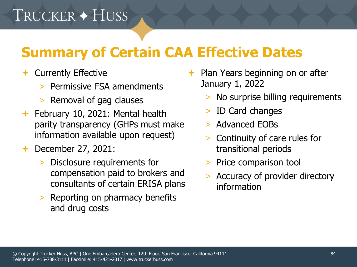# **Summary of Certain CAA Effective Dates**

- ← Currently Effective
	- > Permissive FSA amendments
	- > Removal of gag clauses
- February 10, 2021: Mental health parity transparency (GHPs must make information available upon request)
- **← December 27, 2021:** 
	- > Disclosure requirements for compensation paid to brokers and consultants of certain ERISA plans
	- > Reporting on pharmacy benefits and drug costs
- $\rightarrow$  Plan Years beginning on or after January 1, 2022
	- > No surprise billing requirements
	- ID Card changes
	- > Advanced EOBs
	- > Continuity of care rules for transitional periods
	- > Price comparison tool
	- > Accuracy of provider directory information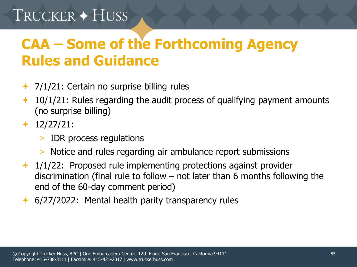# TRUCKER + HUSS

# **CAA – Some of the Forthcoming Agency Rules and Guidance**

- $\rightarrow$  7/1/21: Certain no surprise billing rules
- $+$  10/1/21: Rules regarding the audit process of qualifying payment amounts (no surprise billing)
- $+ 12/27/21$ :
	- > IDR process regulations
	- > Notice and rules regarding air ambulance report submissions
- $+$  1/1/22: Proposed rule implementing protections against provider discrimination (final rule to follow – not later than 6 months following the end of the 60-day comment period)
- ← 6/27/2022: Mental health parity transparency rules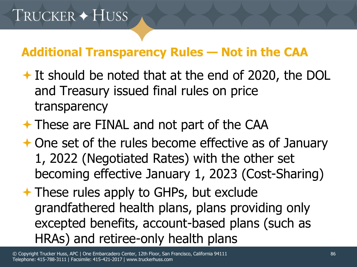- **→ It should be noted that at the end of 2020, the DOL** and Treasury issued final rules on price transparency
- **★ These are FINAL and not part of the CAA**
- **← One set of the rules become effective as of January** 1, 2022 (Negotiated Rates) with the other set becoming effective January 1, 2023 (Cost-Sharing)
- **★ These rules apply to GHPs, but exclude** grandfathered health plans, plans providing only excepted benefits, account-based plans (such as HRAs) and retiree-only health plans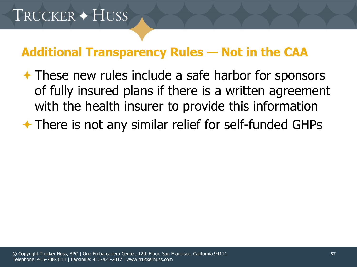**★ These new rules include a safe harbor for sponsors** of fully insured plans if there is a written agreement with the health insurer to provide this information

**★ There is not any similar relief for self-funded GHPs**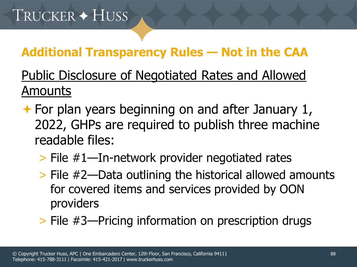### Public Disclosure of Negotiated Rates and Allowed Amounts

 $\rightarrow$  For plan years beginning on and after January 1, 2022, GHPs are required to publish three machine readable files:

### > File #1—In-network provider negotiated rates

- > File #2—Data outlining the historical allowed amounts for covered items and services provided by OON providers
- > File #3—Pricing information on prescription drugs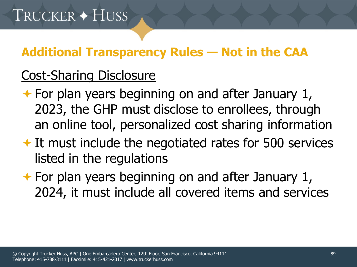### Cost-Sharing Disclosure

- $\rightarrow$  For plan years beginning on and after January 1, 2023, the GHP must disclose to enrollees, through an online tool, personalized cost sharing information
- $\rightarrow$  It must include the negotiated rates for 500 services listed in the regulations
- $\rightarrow$  For plan years beginning on and after January 1, 2024, it must include all covered items and services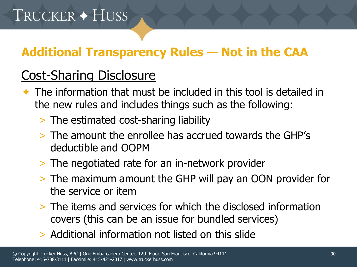### Cost-Sharing Disclosure

- $\rightarrow$  The information that must be included in this tool is detailed in the new rules and includes things such as the following:
	- > The estimated cost-sharing liability
	- > The amount the enrollee has accrued towards the GHP's deductible and OOPM
	- > The negotiated rate for an in-network provider
	- > The maximum amount the GHP will pay an OON provider for the service or item
	- > The items and services for which the disclosed information covers (this can be an issue for bundled services)
	- > Additional information not listed on this slide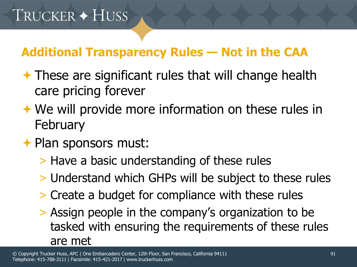- $\rightarrow$  These are significant rules that will change health care pricing forever
- **★ We will provide more information on these rules in February**
- **← Plan sponsors must:** 
	- > Have a basic understanding of these rules
	- > Understand which GHPs will be subject to these rules
	- > Create a budget for compliance with these rules
	- > Assign people in the company's organization to be tasked with ensuring the requirements of these rules are met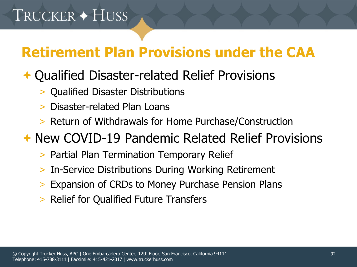# **Retirement Plan Provisions under the CAA**

### **← Qualified Disaster-related Relief Provisions**

- > Qualified Disaster Distributions
- > Disaster-related Plan Loans
- > Return of Withdrawals for Home Purchase/Construction

### New COVID-19 Pandemic Related Relief Provisions

- > Partial Plan Termination Temporary Relief
- > In-Service Distributions During Working Retirement
- Expansion of CRDs to Money Purchase Pension Plans
- > Relief for Qualified Future Transfers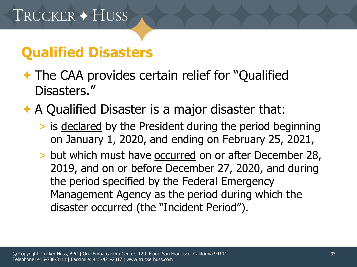# **Qualified Disasters**

- **★ The CAA provides certain relief for "Qualified** Disasters."
- A Qualified Disaster is a major disaster that:
	- > is declared by the President during the period beginning on January 1, 2020, and ending on February 25, 2021,
	- > but which must have occurred on or after December 28, 2019, and on or before December 27, 2020, and during the period specified by the Federal Emergency Management Agency as the period during which the disaster occurred (the "Incident Period").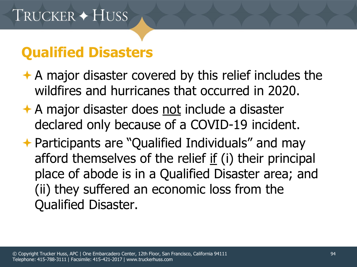# **Qualified Disasters**

- $\rightarrow$  A major disaster covered by this relief includes the wildfires and hurricanes that occurred in 2020.
- **★ A major disaster does not include a disaster** declared only because of a COVID-19 incident.
- **← Participants are "Qualified Individuals" and may** afford themselves of the relief if (i) their principal place of abode is in a Qualified Disaster area; and (ii) they suffered an economic loss from the Qualified Disaster.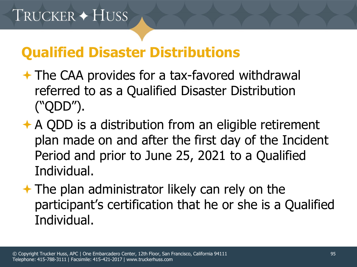- **★ The CAA provides for a tax-favored withdrawal** referred to as a Qualified Disaster Distribution ("QDD").
- **★ A QDD is a distribution from an eligible retirement** plan made on and after the first day of the Incident Period and prior to June 25, 2021 to a Qualified Individual.
- $\rightarrow$  The plan administrator likely can rely on the participant's certification that he or she is a Qualified Individual.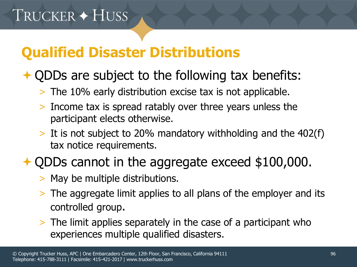## **↑ QDDs are subject to the following tax benefits:**

- > The 10% early distribution excise tax is not applicable.
- > Income tax is spread ratably over three years unless the participant elects otherwise.
- > It is not subject to 20% mandatory withholding and the 402(f) tax notice requirements.

### **↑ QDDs cannot in the aggregate exceed \$100,000.**

- > May be multiple distributions.
- > The aggregate limit applies to all plans of the employer and its controlled group.
- > The limit applies separately in the case of a participant who experiences multiple qualified disasters.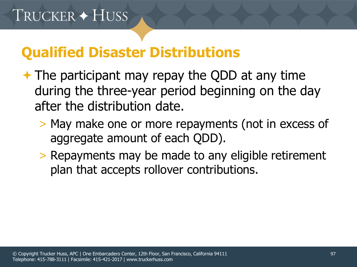- $\rightarrow$  The participant may repay the QDD at any time during the three-year period beginning on the day after the distribution date.
	- > May make one or more repayments (not in excess of aggregate amount of each QDD).
	- > Repayments may be made to any eligible retirement plan that accepts rollover contributions.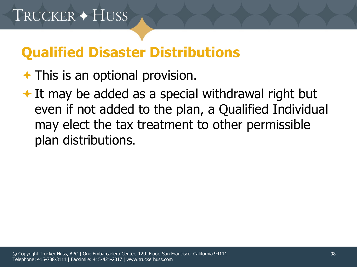### $\rightarrow$  This is an optional provision.

 $\bigstar$  It may be added as a special withdrawal right but even if not added to the plan, a Qualified Individual may elect the tax treatment to other permissible plan distributions.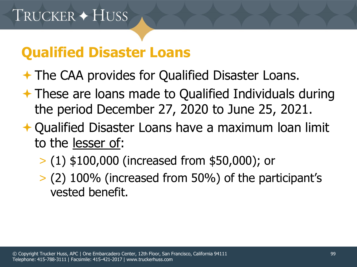## **Qualified Disaster Loans**

**★ The CAA provides for Qualified Disaster Loans.** 

- **★ These are loans made to Qualified Individuals during** the period December 27, 2020 to June 25, 2021.
- **← Qualified Disaster Loans have a maximum loan limit** to the lesser of:
	- > (1) \$100,000 (increased from \$50,000); or
	- > (2) 100% (increased from 50%) of the participant's vested benefit.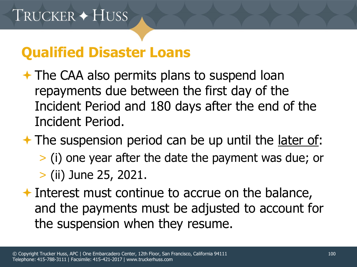# **Qualified Disaster Loans**

 $\rightarrow$  The CAA also permits plans to suspend loan repayments due between the first day of the Incident Period and 180 days after the end of the Incident Period.

 $\rightarrow$  The suspension period can be up until the later of:

- > (i) one year after the date the payment was due; or
- > (ii) June 25, 2021.
- $\rightarrow$  Interest must continue to accrue on the balance, and the payments must be adjusted to account for the suspension when they resume.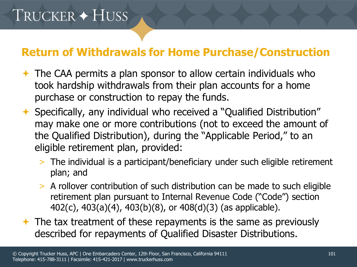# TRUCKER + HUSS

#### **Return of Withdrawals for Home Purchase/Construction**

- $\rightarrow$  The CAA permits a plan sponsor to allow certain individuals who took hardship withdrawals from their plan accounts for a home purchase or construction to repay the funds.
- Specifically, any individual who received a "Qualified Distribution" may make one or more contributions (not to exceed the amount of the Qualified Distribution), during the "Applicable Period," to an eligible retirement plan, provided:
	- > The individual is a participant/beneficiary under such eligible retirement plan; and
	- > A rollover contribution of such distribution can be made to such eligible retirement plan pursuant to Internal Revenue Code ("Code") section 402(c), 403(a)(4), 403(b)(8), or 408(d)(3) (as applicable).
- $\triangle$  The tax treatment of these repayments is the same as previously described for repayments of Qualified Disaster Distributions.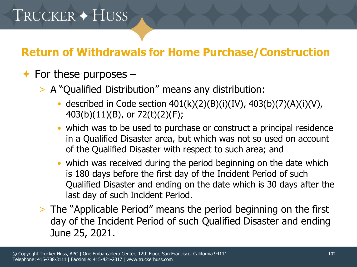#### **Return of Withdrawals for Home Purchase/Construction**

#### $\rightarrow$  For these purposes –

- > A "Qualified Distribution" means any distribution:
	- described in Code section  $401(k)(2)(B)(i)(IV)$ ,  $403(b)(7)(A)(i)(V)$ , 403(b)(11)(B), or 72(t)(2)(F);
	- which was to be used to purchase or construct a principal residence in a Qualified Disaster area, but which was not so used on account of the Qualified Disaster with respect to such area; and
	- which was received during the period beginning on the date which is 180 days before the first day of the Incident Period of such Qualified Disaster and ending on the date which is 30 days after the last day of such Incident Period.
- > The "Applicable Period" means the period beginning on the first day of the Incident Period of such Qualified Disaster and ending June 25, 2021.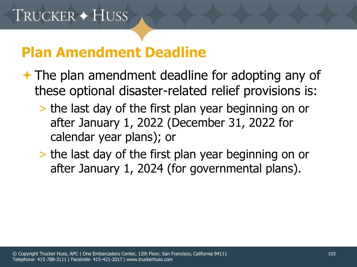## **Plan Amendment Deadline**

- $\rightarrow$  The plan amendment deadline for adopting any of these optional disaster-related relief provisions is:
	- > the last day of the first plan year beginning on or after January 1, 2022 (December 31, 2022 for calendar year plans); or
	- > the last day of the first plan year beginning on or after January 1, 2024 (for governmental plans).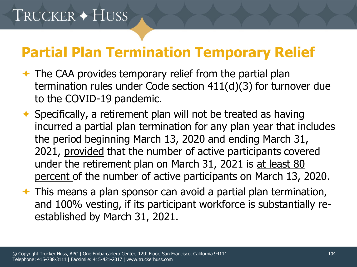## **Partial Plan Termination Temporary Relief**

- $\rightarrow$  The CAA provides temporary relief from the partial plan termination rules under Code section 411(d)(3) for turnover due to the COVID-19 pandemic.
- $\rightarrow$  Specifically, a retirement plan will not be treated as having incurred a partial plan termination for any plan year that includes the period beginning March 13, 2020 and ending March 31, 2021, provided that the number of active participants covered under the retirement plan on March 31, 2021 is at least 80 percent of the number of active participants on March 13, 2020.
- $\rightarrow$  This means a plan sponsor can avoid a partial plan termination, and 100% vesting, if its participant workforce is substantially reestablished by March 31, 2021.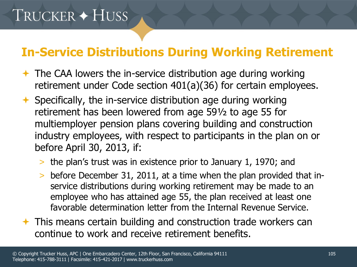### **In-Service Distributions During Working Retirement**

- $\rightarrow$  The CAA lowers the in-service distribution age during working retirement under Code section 401(a)(36) for certain employees.
- $\rightarrow$  Specifically, the in-service distribution age during working retirement has been lowered from age 59½ to age 55 for multiemployer pension plans covering building and construction industry employees, with respect to participants in the plan on or before April 30, 2013, if:
	- > the plan's trust was in existence prior to January 1, 1970; and
	- > before December 31, 2011, at a time when the plan provided that inservice distributions during working retirement may be made to an employee who has attained age 55, the plan received at least one favorable determination letter from the Internal Revenue Service.
- $\rightarrow$  This means certain building and construction trade workers can continue to work and receive retirement benefits.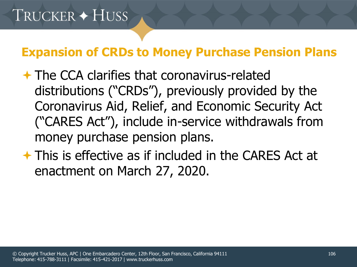#### **Expansion of CRDs to Money Purchase Pension Plans**

- **★ The CCA clarifies that coronavirus-related** distributions ("CRDs"), previously provided by the Coronavirus Aid, Relief, and Economic Security Act ("CARES Act"), include in-service withdrawals from money purchase pension plans.
- This is effective as if included in the CARES Act at enactment on March 27, 2020.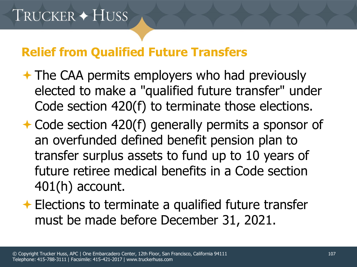#### **Relief from Qualified Future Transfers**

- **★ The CAA permits employers who had previously** elected to make a "qualified future transfer" under Code section 420(f) to terminate those elections.
- **← Code section 420(f) generally permits a sponsor of** an overfunded defined benefit pension plan to transfer surplus assets to fund up to 10 years of future retiree medical benefits in a Code section 401(h) account.
- **Elections to terminate a qualified future transfer** must be made before December 31, 2021.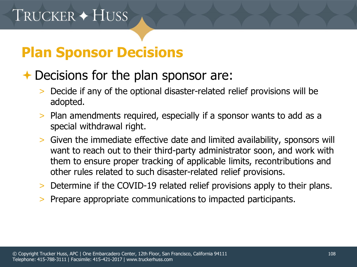## **Plan Sponsor Decisions**

### **← Decisions for the plan sponsor are:**

- > Decide if any of the optional disaster-related relief provisions will be adopted.
- > Plan amendments required, especially if a sponsor wants to add as a special withdrawal right.
- > Given the immediate effective date and limited availability, sponsors will want to reach out to their third-party administrator soon, and work with them to ensure proper tracking of applicable limits, recontributions and other rules related to such disaster-related relief provisions.
- > Determine if the COVID-19 related relief provisions apply to their plans.
- > Prepare appropriate communications to impacted participants.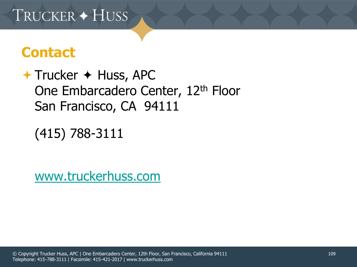## TRUCKER + HUSS

## **Contact**

 $+$  Trucker  $+$  Huss, APC One Embarcadero Center, 12<sup>th</sup> Floor San Francisco, CA 94111

(415) 788-3111

[www.truckerhuss.com](http://www.truckerhuss.com/)